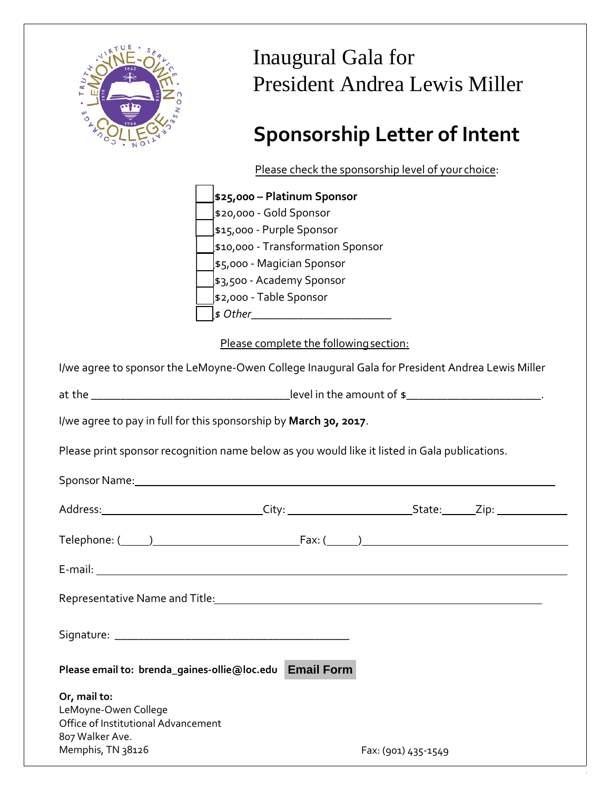

## Inaugural Gala for President Andrea Lewis Miller

# **Sponsorship Letter of Intent**

Please check the sponsorship level of your choice:

|                                      |                                                                   | I ICase CriceR the sponsorship icver or your choice.                                                                                                                                                                           |
|--------------------------------------|-------------------------------------------------------------------|--------------------------------------------------------------------------------------------------------------------------------------------------------------------------------------------------------------------------------|
|                                      | 525,000 — Platinum Sponsor                                        |                                                                                                                                                                                                                                |
|                                      | \$20,000 - Gold Sponsor                                           |                                                                                                                                                                                                                                |
|                                      | \$15,000 - Purple Sponsor                                         |                                                                                                                                                                                                                                |
|                                      | \$10,000 - Transformation Sponsor                                 |                                                                                                                                                                                                                                |
|                                      | \$5,000 - Magician Sponsor                                        |                                                                                                                                                                                                                                |
|                                      | \$3,500 - Academy Sponsor                                         |                                                                                                                                                                                                                                |
|                                      | \$2,000 - Table Sponsor                                           |                                                                                                                                                                                                                                |
|                                      |                                                                   |                                                                                                                                                                                                                                |
|                                      | Please complete the following section:                            |                                                                                                                                                                                                                                |
|                                      |                                                                   |                                                                                                                                                                                                                                |
|                                      |                                                                   | I/we agree to sponsor the LeMoyne-Owen College Inaugural Gala for President Andrea Lewis Miller                                                                                                                                |
|                                      |                                                                   |                                                                                                                                                                                                                                |
|                                      |                                                                   |                                                                                                                                                                                                                                |
|                                      | I/we agree to pay in full for this sponsorship by March 30, 2017. |                                                                                                                                                                                                                                |
|                                      |                                                                   | Please print sponsor recognition name below as you would like it listed in Gala publications.                                                                                                                                  |
|                                      |                                                                   |                                                                                                                                                                                                                                |
|                                      |                                                                   | Sponsor Name: Sponsor Name: Sponsor Name: Sponsor Name: Sponsor Name: Sponsor Name: Sponsor Name: Sponsor Name: Sponsor Name: Sponsor Name: Sponsor Name: Sponsor Name: Sponsor Name: Sponsor Name: Sponsor Name: Sponsor Name |
|                                      |                                                                   |                                                                                                                                                                                                                                |
|                                      |                                                                   |                                                                                                                                                                                                                                |
|                                      |                                                                   |                                                                                                                                                                                                                                |
|                                      |                                                                   |                                                                                                                                                                                                                                |
|                                      |                                                                   |                                                                                                                                                                                                                                |
|                                      |                                                                   | Representative Name and Title: Name and Title: Name of the Contract of the Contract of the Contract of the Contract of the Contract of the Contract of the Contract of the Contract of the Contract of the Contract of the Con |
|                                      |                                                                   |                                                                                                                                                                                                                                |
| Signature: _______                   |                                                                   |                                                                                                                                                                                                                                |
|                                      |                                                                   |                                                                                                                                                                                                                                |
|                                      | Please email to: brenda_gaines-ollie@loc.edu Email Form           |                                                                                                                                                                                                                                |
| Or, mail to:                         |                                                                   |                                                                                                                                                                                                                                |
| LeMoyne-Owen College                 |                                                                   |                                                                                                                                                                                                                                |
| Office of Institutional Advancement  |                                                                   |                                                                                                                                                                                                                                |
| 807 Walker Ave.<br>Memphis, TN 38126 |                                                                   |                                                                                                                                                                                                                                |
|                                      |                                                                   | Fax: (901) 435-1549                                                                                                                                                                                                            |